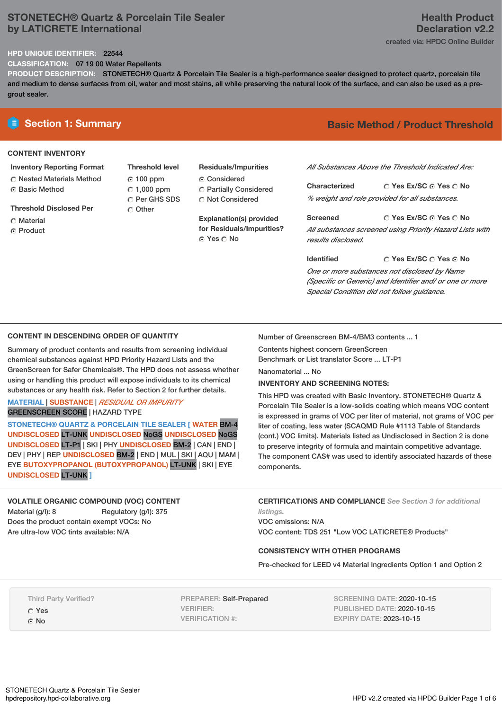# **STONETECH® Quartz & Porcelain Tile Sealer by LATICRETE International**

# **Health Product Declaration v2.2** created via: HPDC Online Builder

## **HPD UNIQUE IDENTIFIER:** 22544

**CLASSIFICATION:** 07 19 00 Water Repellents

**PRODUCT DESCRIPTION:** STONETECH® Quartz & Porcelain Tile Sealer is a high-performance sealer designed to protect quartz, porcelain tile and medium to dense surfaces from oil, water and most stains, all while preserving the natural look of the surface, and can also be used as a pregrout sealer.

# **CONTENT INVENTORY**

## **Inventory Reporting Format**

**C** Nested Materials Method ⊙ Basic Method

**Threshold Disclosed Per**

- C Material
- C Product

**Threshold level** 100 ppm  $\degree$  1,000 ppm C Per GHS SDS Other

# **Residuals/Impurities**

Considered Partially Considered C Not Considered

**Explanation(s) provided for Residuals/Impurities?** © Yes ○ No

# **E** Section 1: Summary **Basic** Method / Product Threshold

*All Substances Above the Threshold Indicated Are:*

**Yes Ex/SC Yes No Characterized** *% weight and role provided for all substances.*

**Yes Ex/SC Yes No Screened** *All substances screened using Priority Hazard Lists with results disclosed.*

**Yes Ex/SC Yes No Identified** *One or more substances not disclosed by Name (Specific or Generic) and Identifier and/ or one or more Special Condition did not follow guidance.*

## **CONTENT IN DESCENDING ORDER OF QUANTITY**

Summary of product contents and results from screening individual chemical substances against HPD Priority Hazard Lists and the GreenScreen for Safer Chemicals®. The HPD does not assess whether using or handling this product will expose individuals to its chemical substances or any health risk. Refer to Section 2 for further details.

## **MATERIAL** | **SUBSTANCE** | *RESIDUAL OR IMPURITY* GREENSCREEN SCORE | HAZARD TYPE

**STONETECH® QUARTZ & PORCELAIN TILE SEALER [ WATER** BM-4 **UNDISCLOSED** LT-UNK **UNDISCLOSED** NoGS **UNDISCLOSED** NoGS **UNDISCLOSED** LT-P1 | SKI | PHY **UNDISCLOSED** BM-2 | CAN | END | DEV | PHY | REP **UNDISCLOSED** BM-2 | END | MUL | SKI | AQU | MAM | EYE **BUTOXYPROPANOL (BUTOXYPROPANOL)** LT-UNK | SKI | EYE **UNDISCLOSED** LT-UNK **]**

**VOLATILE ORGANIC COMPOUND (VOC) CONTENT** Material (g/l): 8 Regulatory (g/l): 375 Does the product contain exempt VOCs: No Are ultra-low VOC tints available: N/A

Number of Greenscreen BM-4/BM3 contents ... 1

Contents highest concern GreenScreen Benchmark or List translator Score ... LT-P1

Nanomaterial ... No

#### **INVENTORY AND SCREENING NOTES:**

This HPD was created with Basic Inventory. STONETECH® Quartz & Porcelain Tile Sealer is a low-solids coating which means VOC content is expressed in grams of VOC per liter of material, not grams of VOC per liter of coating, less water (SCAQMD Rule #1113 Table of Standards (cont.) VOC limits). Materials listed as Undisclosed in Section 2 is done to preserve integrity of formula and maintain competitive advantage. The component CAS# was used to identify associated hazards of these components.

**CERTIFICATIONS AND COMPLIANCE** *See Section 3 for additional listings.*

VOC emissions: N/A VOC content: TDS 251 "Low VOC LATICRETE® Products"

#### **CONSISTENCY WITH OTHER PROGRAMS**

Pre-checked for LEED v4 Material Ingredients Option 1 and Option 2

Third Party Verified? Yes

G No

PREPARER: Self-Prepared VERIFIER: VERIFICATION #:

SCREENING DATE: 2020-10-15 PUBLISHED DATE: 2020-10-15 EXPIRY DATE: 2023-10-15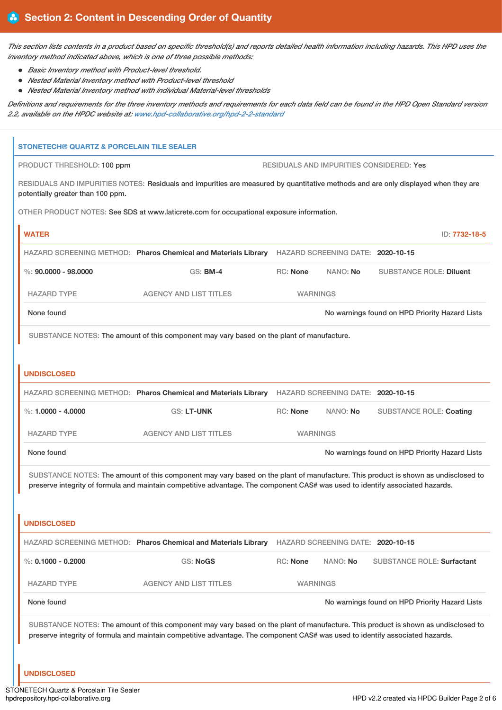This section lists contents in a product based on specific threshold(s) and reports detailed health information including hazards. This HPD uses the *inventory method indicated above, which is one of three possible methods:*

- *Basic Inventory method with Product-level threshold.*
- *Nested Material Inventory method with Product-level threshold*
- *Nested Material Inventory method with individual Material-level thresholds*

Definitions and requirements for the three inventory methods and requirements for each data field can be found in the HPD Open Standard version *2.2, available on the HPDC website at: [www.hpd-collaborative.org/hpd-2-2-standard](https://www.hpd-collaborative.org/hpd-2-2-standard)*

| STONETECH® QUARTZ & PORCELAIN TILE SEALER |                                                                                                                                                                                                                                                                    |                                                |                                   |                                                |               |
|-------------------------------------------|--------------------------------------------------------------------------------------------------------------------------------------------------------------------------------------------------------------------------------------------------------------------|------------------------------------------------|-----------------------------------|------------------------------------------------|---------------|
| PRODUCT THRESHOLD: 100 ppm                |                                                                                                                                                                                                                                                                    |                                                |                                   | RESIDUALS AND IMPURITIES CONSIDERED: Yes       |               |
| potentially greater than 100 ppm.         | RESIDUALS AND IMPURITIES NOTES: Residuals and impurities are measured by quantitative methods and are only displayed when they are                                                                                                                                 |                                                |                                   |                                                |               |
|                                           | OTHER PRODUCT NOTES: See SDS at www.laticrete.com for occupational exposure information.                                                                                                                                                                           |                                                |                                   |                                                |               |
| <b>WATER</b>                              |                                                                                                                                                                                                                                                                    |                                                |                                   |                                                | ID: 7732-18-5 |
|                                           | HAZARD SCREENING METHOD: Pharos Chemical and Materials Library                                                                                                                                                                                                     | HAZARD SCREENING DATE: 2020-10-15              |                                   |                                                |               |
| $\%$ : 90.0000 - 98.0000                  | <b>GS: BM-4</b>                                                                                                                                                                                                                                                    | RC: None                                       | NANO: No                          | <b>SUBSTANCE ROLE: Diluent</b>                 |               |
| <b>HAZARD TYPE</b>                        | <b>AGENCY AND LIST TITLES</b>                                                                                                                                                                                                                                      | <b>WARNINGS</b>                                |                                   |                                                |               |
| None found                                |                                                                                                                                                                                                                                                                    | No warnings found on HPD Priority Hazard Lists |                                   |                                                |               |
|                                           | SUBSTANCE NOTES: The amount of this component may vary based on the plant of manufacture.                                                                                                                                                                          |                                                |                                   |                                                |               |
|                                           |                                                                                                                                                                                                                                                                    |                                                |                                   |                                                |               |
| <b>UNDISCLOSED</b>                        |                                                                                                                                                                                                                                                                    |                                                |                                   |                                                |               |
|                                           | HAZARD SCREENING METHOD: Pharos Chemical and Materials Library                                                                                                                                                                                                     |                                                | HAZARD SCREENING DATE: 2020-10-15 |                                                |               |
| %: $1.0000 - 4.0000$                      | <b>GS: LT-UNK</b>                                                                                                                                                                                                                                                  | <b>RC: None</b>                                | NANO: No                          | <b>SUBSTANCE ROLE: Coating</b>                 |               |
| <b>HAZARD TYPE</b>                        | <b>AGENCY AND LIST TITLES</b>                                                                                                                                                                                                                                      | <b>WARNINGS</b>                                |                                   |                                                |               |
| None found                                |                                                                                                                                                                                                                                                                    | No warnings found on HPD Priority Hazard Lists |                                   |                                                |               |
|                                           | SUBSTANCE NOTES: The amount of this component may vary based on the plant of manufacture. This product is shown as undisclosed to                                                                                                                                  |                                                |                                   |                                                |               |
|                                           | preserve integrity of formula and maintain competitive advantage. The component CAS# was used to identify associated hazards.                                                                                                                                      |                                                |                                   |                                                |               |
|                                           |                                                                                                                                                                                                                                                                    |                                                |                                   |                                                |               |
| <b>UNDISCLOSED</b>                        |                                                                                                                                                                                                                                                                    |                                                |                                   |                                                |               |
|                                           | HAZARD SCREENING METHOD: Pharos Chemical and Materials Library                                                                                                                                                                                                     |                                                | HAZARD SCREENING DATE: 2020-10-15 |                                                |               |
| %: $0.1000 - 0.2000$                      | <b>GS: NoGS</b>                                                                                                                                                                                                                                                    | <b>RC: None</b>                                | NANO: No                          | <b>SUBSTANCE ROLE: Surfactant</b>              |               |
| <b>HAZARD TYPE</b>                        | <b>AGENCY AND LIST TITLES</b>                                                                                                                                                                                                                                      | <b>WARNINGS</b>                                |                                   |                                                |               |
| None found                                |                                                                                                                                                                                                                                                                    |                                                |                                   | No warnings found on HPD Priority Hazard Lists |               |
|                                           | SUBSTANCE NOTES: The amount of this component may vary based on the plant of manufacture. This product is shown as undisclosed to<br>preserve integrity of formula and maintain competitive advantage. The component CAS# was used to identify associated hazards. |                                                |                                   |                                                |               |
| <b>UNDISCLOSED</b>                        |                                                                                                                                                                                                                                                                    |                                                |                                   |                                                |               |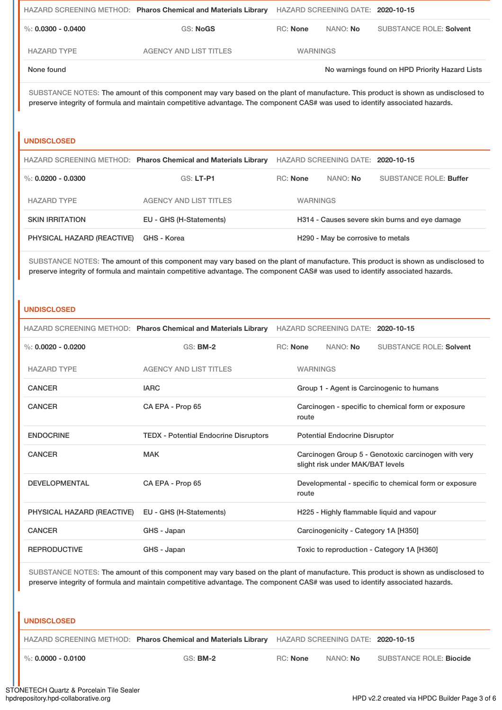|                    | HAZARD SCREENING METHOD: Pharos Chemical and Materials Library HAZARD SCREENING DATE: 2020-10-15 |                 |                 |                                                |  |
|--------------------|--------------------------------------------------------------------------------------------------|-----------------|-----------------|------------------------------------------------|--|
| %: 0.0300 - 0.0400 | <b>GS: NoGS</b>                                                                                  | RC: None        | NANO: <b>No</b> | <b>SUBSTANCE ROLE: Solvent</b>                 |  |
| <b>HAZARD TYPE</b> | AGENCY AND LIST TITLES                                                                           | <b>WARNINGS</b> |                 |                                                |  |
| None found         |                                                                                                  |                 |                 | No warnings found on HPD Priority Hazard Lists |  |

SUBSTANCE NOTES: The amount of this component may vary based on the plant of manufacture. This product is shown as undisclosed to preserve integrity of formula and maintain competitive advantage. The component CAS# was used to identify associated hazards.

#### **UNDISCLOSED**

|                            | HAZARD SCREENING METHOD: Pharos Chemical and Materials Library | HAZARD SCREENING DATE: 2020-10-15              |                                               |                        |
|----------------------------|----------------------------------------------------------------|------------------------------------------------|-----------------------------------------------|------------------------|
| %: $0.0200 - 0.0300$       | <b>GS: LT-P1</b>                                               | <b>RC:</b> None                                | NANO: No                                      | SUBSTANCE ROLE: Buffer |
| <b>HAZARD TYPE</b>         | AGENCY AND LIST TITLES                                         | <b>WARNINGS</b>                                |                                               |                        |
| <b>SKIN IRRITATION</b>     | EU - GHS (H-Statements)                                        | H314 - Causes severe skin burns and eye damage |                                               |                        |
| PHYSICAL HAZARD (REACTIVE) | GHS - Korea                                                    |                                                | H <sub>290</sub> - May be corrosive to metals |                        |

SUBSTANCE NOTES: The amount of this component may vary based on the plant of manufacture. This product is shown as undisclosed to preserve integrity of formula and maintain competitive advantage. The component CAS# was used to identify associated hazards.

#### **UNDISCLOSED**

|                            | HAZARD SCREENING METHOD: Pharos Chemical and Materials Library | HAZARD SCREENING DATE: 2020-10-15         |          |                                      |                                                       |
|----------------------------|----------------------------------------------------------------|-------------------------------------------|----------|--------------------------------------|-------------------------------------------------------|
| %: $0.0020 - 0.0200$       | $GS:$ BM-2                                                     |                                           | RC: None | NANO: No                             | <b>SUBSTANCE ROLE: Solvent</b>                        |
| <b>HAZARD TYPE</b>         | <b>AGENCY AND LIST TITLES</b>                                  | <b>WARNINGS</b>                           |          |                                      |                                                       |
| <b>CANCER</b>              | <b>IARC</b>                                                    | Group 1 - Agent is Carcinogenic to humans |          |                                      |                                                       |
| <b>CANCER</b>              | CA EPA - Prop 65                                               |                                           | route    |                                      | Carcinogen - specific to chemical form or exposure    |
| <b>ENDOCRINE</b>           | <b>TEDX</b> - Potential Endocrine Disruptors                   |                                           |          | <b>Potential Endocrine Disruptor</b> |                                                       |
| <b>CANCER</b>              | <b>MAK</b>                                                     |                                           |          | slight risk under MAK/BAT levels     | Carcinogen Group 5 - Genotoxic carcinogen with very   |
| <b>DEVELOPMENTAL</b>       | CA EPA - Prop 65                                               |                                           | route    |                                      | Developmental - specific to chemical form or exposure |
| PHYSICAL HAZARD (REACTIVE) | EU - GHS (H-Statements)                                        |                                           |          |                                      | H225 - Highly flammable liquid and vapour             |
| <b>CANCER</b>              | GHS - Japan                                                    |                                           |          | Carcinogenicity - Category 1A [H350] |                                                       |
| <b>REPRODUCTIVE</b>        | GHS - Japan                                                    |                                           |          |                                      | Toxic to reproduction - Category 1A [H360]            |

SUBSTANCE NOTES: The amount of this component may vary based on the plant of manufacture. This product is shown as undisclosed to preserve integrity of formula and maintain competitive advantage. The component CAS# was used to identify associated hazards.

#### **UNDISCLOSED**

| HAZARD SCREENING METHOD: Pharos Chemical and Materials Library HAZARD SCREENING DATE: 2020-10-15 |  |
|--------------------------------------------------------------------------------------------------|--|
|--------------------------------------------------------------------------------------------------|--|

%: **0.0000 - 0.0100** GS: **BM-2** RC: **None** NANO: **No** SUBSTANCE ROLE: **Biocide**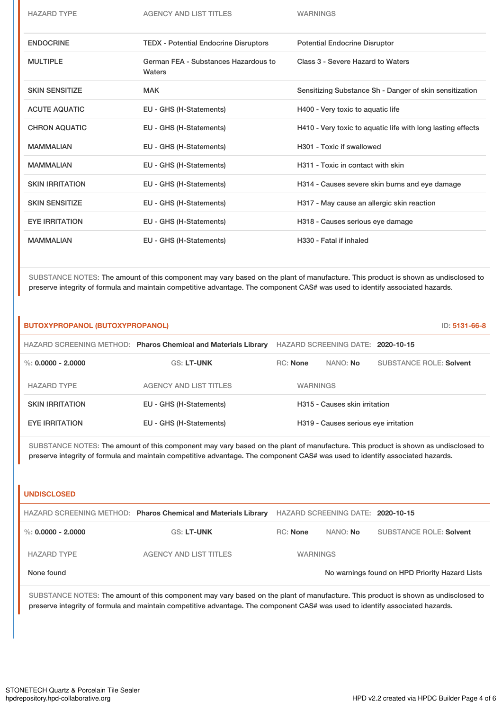| <b>HAZARD TYPE</b>     | <b>AGENCY AND LIST TITLES</b>                  | <b>WARNINGS</b>                                             |
|------------------------|------------------------------------------------|-------------------------------------------------------------|
| <b>ENDOCRINE</b>       | <b>TEDX - Potential Endocrine Disruptors</b>   | <b>Potential Endocrine Disruptor</b>                        |
| <b>MULTIPLE</b>        | German FEA - Substances Hazardous to<br>Waters | Class 3 - Severe Hazard to Waters                           |
| <b>SKIN SENSITIZE</b>  | <b>MAK</b>                                     | Sensitizing Substance Sh - Danger of skin sensitization     |
| <b>ACUTE AQUATIC</b>   | EU - GHS (H-Statements)                        | H400 - Very toxic to aquatic life                           |
| <b>CHRON AQUATIC</b>   | EU - GHS (H-Statements)                        | H410 - Very toxic to aquatic life with long lasting effects |
| <b>MAMMALIAN</b>       | EU - GHS (H-Statements)                        | H301 - Toxic if swallowed                                   |
| <b>MAMMALIAN</b>       | EU - GHS (H-Statements)                        | H311 - Toxic in contact with skin                           |
| <b>SKIN IRRITATION</b> | EU - GHS (H-Statements)                        | H314 - Causes severe skin burns and eye damage              |
| <b>SKIN SENSITIZE</b>  | EU - GHS (H-Statements)                        | H317 - May cause an allergic skin reaction                  |
| <b>EYE IRRITATION</b>  | EU - GHS (H-Statements)                        | H318 - Causes serious eye damage                            |
| <b>MAMMALIAN</b>       | EU - GHS (H-Statements)                        | H330 - Fatal if inhaled                                     |

SUBSTANCE NOTES: The amount of this component may vary based on the plant of manufacture. This product is shown as undisclosed to preserve integrity of formula and maintain competitive advantage. The component CAS# was used to identify associated hazards.

| BUTOXYPROPANOL (BUTOXYPROPANOL) |                                                                |                                   |                                      | ID: 5131-66-8                  |
|---------------------------------|----------------------------------------------------------------|-----------------------------------|--------------------------------------|--------------------------------|
|                                 | HAZARD SCREENING METHOD: Pharos Chemical and Materials Library | HAZARD SCREENING DATE: 2020-10-15 |                                      |                                |
| %: $0.0000 - 2.0000$            | <b>GS: LT-UNK</b>                                              | <b>RC:</b> None                   | NANO: No                             | <b>SUBSTANCE ROLE: Solvent</b> |
| <b>HAZARD TYPE</b>              | <b>AGENCY AND LIST TITLES</b>                                  | <b>WARNINGS</b>                   |                                      |                                |
| <b>SKIN IRRITATION</b>          | EU - GHS (H-Statements)                                        |                                   | H315 - Causes skin irritation        |                                |
| <b>EYE IRRITATION</b>           | EU - GHS (H-Statements)                                        |                                   | H319 - Causes serious eye irritation |                                |

SUBSTANCE NOTES: The amount of this component may vary based on the plant of manufacture. This product is shown as undisclosed to preserve integrity of formula and maintain competitive advantage. The component CAS# was used to identify associated hazards.

### **UNDISCLOSED**

|                                                              | HAZARD SCREENING METHOD: Pharos Chemical and Materials Library | HAZARD SCREENING DATE: 2020-10-15 |                 |                         |
|--------------------------------------------------------------|----------------------------------------------------------------|-----------------------------------|-----------------|-------------------------|
| %: $0.0000 - 2.0000$                                         | <b>GS: LT-UNK</b>                                              | $RC:$ None                        | NANO: <b>No</b> | SUBSTANCE ROLE: Solvent |
| <b>HAZARD TYPE</b>                                           | AGENCY AND LIST TITLES                                         | <b>WARNINGS</b>                   |                 |                         |
| No warnings found on HPD Priority Hazard Lists<br>None found |                                                                |                                   |                 |                         |

SUBSTANCE NOTES: The amount of this component may vary based on the plant of manufacture. This product is shown as undisclosed to preserve integrity of formula and maintain competitive advantage. The component CAS# was used to identify associated hazards.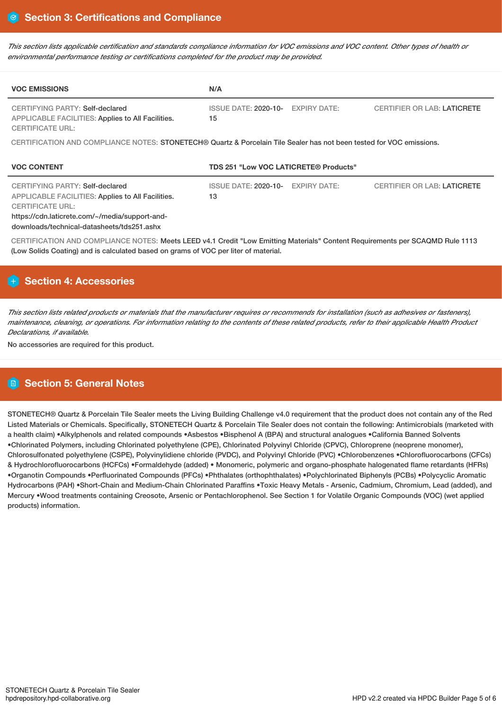This section lists applicable certification and standards compliance information for VOC emissions and VOC content. Other types of health or *environmental performance testing or certifications completed for the product may be provided.*

| <b>VOC EMISSIONS</b>                                                                                            | N/A                                                                                                                  |  |  |  |  |  |
|-----------------------------------------------------------------------------------------------------------------|----------------------------------------------------------------------------------------------------------------------|--|--|--|--|--|
| CERTIFYING PARTY: Self-declared<br>APPLICABLE FACILITIES: Applies to All Facilities.<br><b>CERTIFICATE URL:</b> | <b>ISSUE DATE: 2020-10-</b><br><b>EXPIRY DATE:</b><br><b>CERTIFIER OR LAB: LATICRETE</b><br>15                       |  |  |  |  |  |
|                                                                                                                 | CERTIFICATION AND COMPLIANCE NOTES: STONETECH® Quartz & Porcelain Tile Sealer has not been tested for VOC emissions. |  |  |  |  |  |
| <b>VOC CONTENT</b>                                                                                              | <b>TDS 251 "Low VOC LATICRETE® Products"</b>                                                                         |  |  |  |  |  |
| CERTIFYING PARTY: Self-declared<br>APPLICABLE FACILITIES: Applies to All Facilities.<br><b>CERTIFICATE URL:</b> | <b>ISSUE DATE: 2020-10-</b><br><b>EXPIRY DATE:</b><br><b>CERTIFIER OR LAB: LATICRETE</b><br>13                       |  |  |  |  |  |
| https://cdn.laticrete.com/~/media/support-and-<br>downloads/technical-datasheets/tds251.ashx                    |                                                                                                                      |  |  |  |  |  |

# **Section 4: Accessories**

This section lists related products or materials that the manufacturer requires or recommends for installation (such as adhesives or fasteners), maintenance, cleaning, or operations. For information relating to the contents of these related products, refer to their applicable Health Product *Declarations, if available.*

No accessories are required for this product.

# **Section 5: General Notes**

STONETECH® Quartz & Porcelain Tile Sealer meets the Living Building Challenge v4.0 requirement that the product does not contain any of the Red Listed Materials or Chemicals. Specifically, STONETECH Quartz & Porcelain Tile Sealer does not contain the following: Antimicrobials (marketed with a health claim) •Alkylphenols and related compounds •Asbestos •Bisphenol A (BPA) and structural analogues •California Banned Solvents •Chlorinated Polymers, including Chlorinated polyethylene (CPE), Chlorinated Polyvinyl Chloride (CPVC), Chloroprene (neoprene monomer), Chlorosulfonated polyethylene (CSPE), Polyvinylidiene chloride (PVDC), and Polyvinyl Chloride (PVC) •Chlorobenzenes •Chlorofluorocarbons (CFCs) & Hydrochlorofluorocarbons (HCFCs) •Formaldehyde (added) • Monomeric, polymeric and organo-phosphate halogenated flame retardants (HFRs) •Organotin Compounds •Perfluorinated Compounds (PFCs) •Phthalates (orthophthalates) •Polychlorinated Biphenyls (PCBs) •Polycyclic Aromatic Hydrocarbons (PAH) •Short-Chain and Medium-Chain Chlorinated Paraffins •Toxic Heavy Metals - Arsenic, Cadmium, Chromium, Lead (added), and Mercury •Wood treatments containing Creosote, Arsenic or Pentachlorophenol. See Section 1 for Volatile Organic Compounds (VOC) (wet applied products) information.